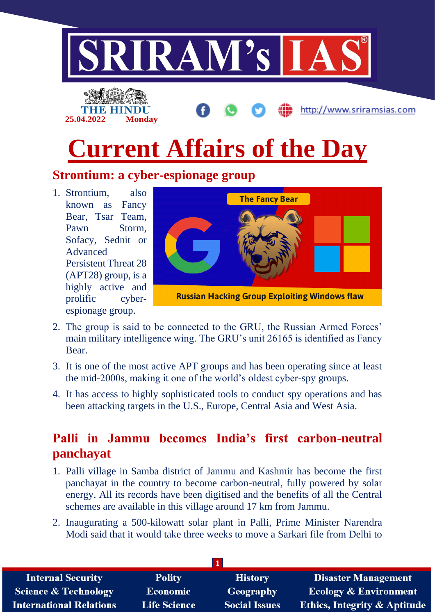

# **Current Affairs of the Day**

### **Strontium: a cyber-espionage group**

1. Strontium, also known as Fancy Bear, Tsar Team, Pawn Storm, Sofacy, Sednit or Advanced Persistent Threat 28 (APT28) group, is a highly active and prolific cyberespionage group.



- 2. The group is said to be connected to the GRU, the Russian Armed Forces' main military intelligence wing. The GRU's unit 26165 is identified as Fancy Bear.
- 3. It is one of the most active APT groups and has been operating since at least the mid-2000s, making it one of the world's oldest cyber-spy groups.
- 4. It has access to highly sophisticated tools to conduct spy operations and has been attacking targets in the U.S., Europe, Central Asia and West Asia.

# **Palli in Jammu becomes India's first carbon-neutral panchayat**

- 1. Palli village in Samba district of Jammu and Kashmir has become the first panchayat in the country to become carbon-neutral, fully powered by solar energy. All its records have been digitised and the benefits of all the Central schemes are available in this village around 17 km from Jammu.
- 2. Inaugurating a 500-kilowatt solar plant in Palli, Prime Minister Narendra Modi said that it would take three weeks to move a Sarkari file from Delhi to

| <b>Internal Security</b>        | <b>Polity</b>       | <b>History</b>       | <b>Disaster Management</b>              |
|---------------------------------|---------------------|----------------------|-----------------------------------------|
| <b>Science &amp; Technology</b> | <b>Economic</b>     | Geography            | <b>Ecology &amp; Environment</b>        |
| <b>International Relations</b>  | <b>Life Science</b> | <b>Social Issues</b> | <b>Ethics, Integrity &amp; Aptitude</b> |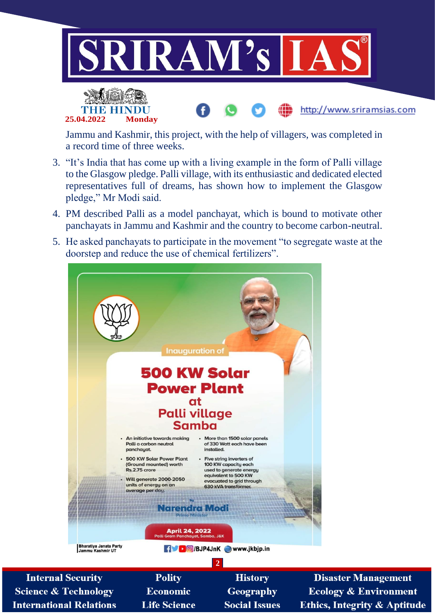



Jammu and Kashmir, this project, with the help of villagers, was completed in a record time of three weeks.

- 3. "It's India that has come up with a living example in the form of Palli village to the Glasgow pledge. Palli village, with its enthusiastic and dedicated elected representatives full of dreams, has shown how to implement the Glasgow pledge," Mr Modi said.
- 4. PM described Palli as a model panchayat, which is bound to motivate other panchayats in Jammu and Kashmir and the country to become carbon-neutral.
- 5. He asked panchayats to participate in the movement "to segregate waste at the doorstep and reduce the use of chemical fertilizers".



**Internal Security Science & Technology International Relations** 

**Polity Economic Life Science** 

**History** Geography **Social Issues** 

**Disaster Management Ecology & Environment Ethics, Integrity & Aptitude** 

http://www.sriramsias.com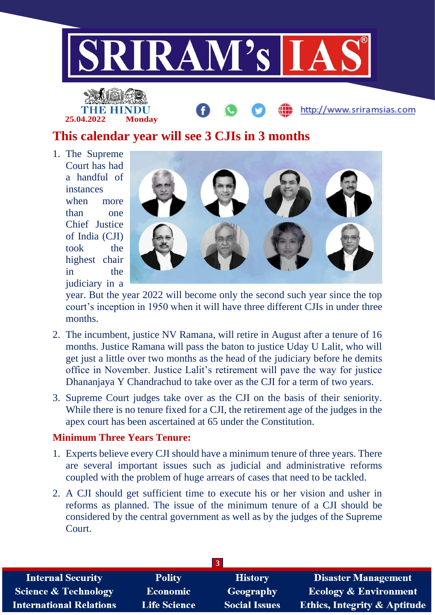



http://www.sriramsias.com

# **This calendar year will see 3 CJIs in 3 months**

1. The Supreme Court has had a handful of instances when more than one Chief Justice of India (CJI) took the highest chair in the judiciary in a



year. But the year 2022 will become only the second such year since the top court's inception in 1950 when it will have three different CJIs in under three months.

- 2. The incumbent, justice NV Ramana, will retire in August after a tenure of 16 months. Justice Ramana will pass the baton to justice Uday U Lalit, who will get just a little over two months as the head of the judiciary before he demits office in November. Justice Lalit's retirement will pave the way for justice Dhananjaya Y Chandrachud to take over as the CJI for a term of two years.
- 3. Supreme Court judges take over as the CJI on the basis of their seniority. While there is no tenure fixed for a CJI, the retirement age of the judges in the apex court has been ascertained at 65 under the Constitution.

#### **Minimum Three Years Tenure:**

- 1. Experts believe every CJI should have a minimum tenure of three years. There are several important issues such as judicial and administrative reforms coupled with the problem of huge arrears of cases that need to be tackled.
- 2. A CJI should get sufficient time to execute his or her vision and usher in reforms as planned. The issue of the minimum tenure of a CJI should be considered by the central government as well as by the judges of the Supreme Court.

| <b>Internal Security</b>        | <b>Polity</b>       | <b>History</b>       | <b>Disaster Management</b>              |
|---------------------------------|---------------------|----------------------|-----------------------------------------|
| <b>Science &amp; Technology</b> | <b>Economic</b>     | <b>Geography</b>     | <b>Ecology &amp; Environment</b>        |
| <b>International Relations</b>  | <b>Life Science</b> | <b>Social Issues</b> | <b>Ethics, Integrity &amp; Aptitude</b> |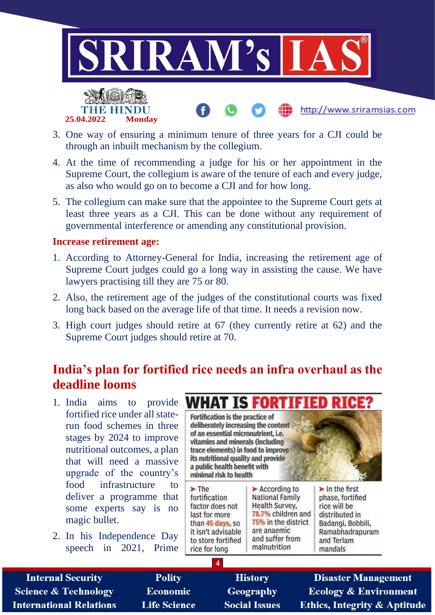

http://www.sriramsias.com



- 3. One way of ensuring a minimum tenure of three years for a CJI could be through an inbuilt mechanism by the collegium.
- 4. At the time of recommending a judge for his or her appointment in the Supreme Court, the collegium is aware of the tenure of each and every judge, as also who would go on to become a CJI and for how long.
- 5. The collegium can make sure that the appointee to the Supreme Court gets at least three years as a CJI. This can be done without any requirement of governmental interference or amending any constitutional provision.

#### **Increase retirement age:**

- 1. According to Attorney-General for India, increasing the retirement age of Supreme Court judges could go a long way in assisting the cause. We have lawyers practising till they are 75 or 80.
- 2. Also, the retirement age of the judges of the constitutional courts was fixed long back based on the average life of that time. It needs a revision now.
- 3. High court judges should retire at 67 (they currently retire at 62) and the Supreme Court judges should retire at 70.

## **India's plan for fortified rice needs an infra overhaul as the deadline looms**

- fortified rice under all staterun food schemes in three stages by 2024 to improve nutritional outcomes, a plan that will need a massive upgrade of the country's food infrastructure to deliver a programme that some experts say is no magic bullet.
- 2. In his Independence Day speech in 2021, Prime



| <b>Internal Security</b>       | <b>Polity</b>       | <b>History</b>       | <b>Disaster Management</b>              |
|--------------------------------|---------------------|----------------------|-----------------------------------------|
| Science & Technology           | <b>Economic</b>     | Geography            | <b>Ecology &amp; Environment</b>        |
| <b>International Relations</b> | <b>Life Science</b> | <b>Social Issues</b> | <b>Ethics, Integrity &amp; Aptitude</b> |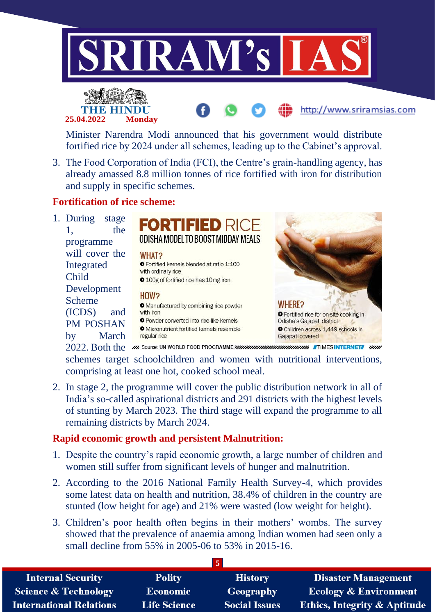





http://www.sriramsias.com

3. The Food Corporation of India (FCI), the Centre's grain-handling agency, has already amassed 8.8 million tonnes of rice fortified with iron for distribution and supply in specific schemes.

#### **Fortification of rice scheme:**

1. During stage 1, the programme will cover the Integrated Child Development Scheme (ICDS) and PM POSHAN by March



schemes target schoolchildren and women with nutritional interventions, comprising at least one hot, cooked school meal.

2. In stage 2, the programme will cover the public distribution network in all of India's so-called aspirational districts and 291 districts with the highest levels of stunting by March 2023. The third stage will expand the programme to all remaining districts by March 2024.

#### **Rapid economic growth and persistent Malnutrition:**

- 1. Despite the country's rapid economic growth, a large number of children and women still suffer from significant levels of hunger and malnutrition.
- 2. According to the 2016 National Family Health Survey-4, which provides some latest data on health and nutrition, 38.4% of children in the country are stunted (low height for age) and 21% were wasted (low weight for height).
- 3. Children's poor health often begins in their mothers' wombs. The survey showed that the prevalence of anaemia among Indian women had seen only a small decline from 55% in 2005-06 to 53% in 2015-16.

|                                 |                     | $5^{\circ}$          |                                         |
|---------------------------------|---------------------|----------------------|-----------------------------------------|
| <b>Internal Security</b>        | <b>Polity</b>       | <b>History</b>       | <b>Disaster Management</b>              |
| <b>Science &amp; Technology</b> | <b>Economic</b>     | <b>Geography</b>     | <b>Ecology &amp; Environment</b>        |
| <b>International Relations</b>  | <b>Life Science</b> | <b>Social Issues</b> | <b>Ethics, Integrity &amp; Aptitude</b> |